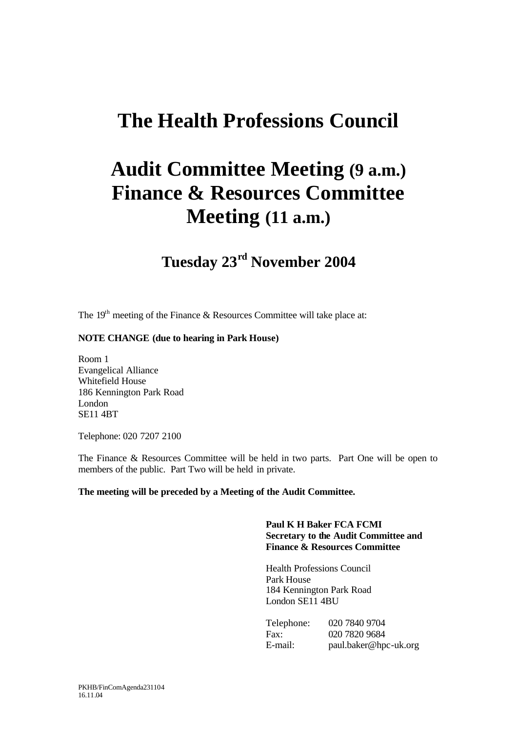## **The Health Professions Council**

# **Audit Committee Meeting (9 a.m.) Finance & Resources Committee Meeting (11 a.m.)**

## **Tuesday 23rd November 2004**

The  $19<sup>th</sup>$  meeting of the Finance & Resources Committee will take place at:

#### **NOTE CHANGE (due to hearing in Park House)**

Room 1 Evangelical Alliance Whitefield House 186 Kennington Park Road London SE11 4BT

Telephone: 020 7207 2100

The Finance & Resources Committee will be held in two parts. Part One will be open to members of the public. Part Two will be held in private.

#### **The meeting will be preceded by a Meeting of the Audit Committee.**

#### **Paul K H Baker FCA FCMI Secretary to the Audit Committee and Finance & Resources Committee**

Health Professions Council Park House 184 Kennington Park Road London SE11 4BU

| Telephone: | 020 7840 9704         |
|------------|-----------------------|
| Fax:       | 020 7820 9684         |
| E-mail:    | paul.baker@hpc-uk.org |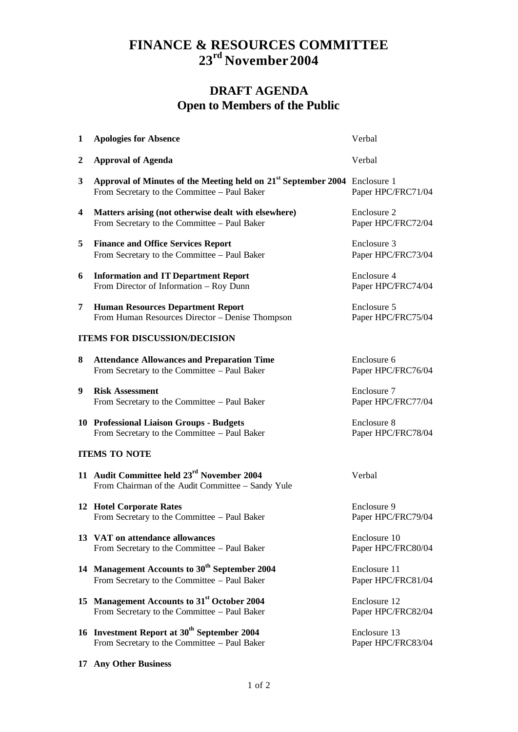### **FINANCE & RESOURCES COMMITTEE 23rd November 2004**

### **DRAFT AGENDA Open to Members of the Public**

| $\mathbf{1}$                         | <b>Apologies for Absence</b>                                                                                                           | Verbal                             |  |
|--------------------------------------|----------------------------------------------------------------------------------------------------------------------------------------|------------------------------------|--|
| $\boldsymbol{2}$                     | <b>Approval of Agenda</b>                                                                                                              | Verbal                             |  |
| 3                                    | Approval of Minutes of the Meeting held on 21 <sup>st</sup> September 2004 Enclosure 1<br>From Secretary to the Committee - Paul Baker | Paper HPC/FRC71/04                 |  |
| 4                                    | Matters arising (not otherwise dealt with elsewhere)<br>From Secretary to the Committee - Paul Baker                                   | Enclosure 2<br>Paper HPC/FRC72/04  |  |
| 5                                    | <b>Finance and Office Services Report</b><br>From Secretary to the Committee - Paul Baker                                              | Enclosure 3<br>Paper HPC/FRC73/04  |  |
| 6                                    | <b>Information and IT Department Report</b><br>From Director of Information - Roy Dunn                                                 | Enclosure 4<br>Paper HPC/FRC74/04  |  |
| 7                                    | <b>Human Resources Department Report</b><br>From Human Resources Director - Denise Thompson                                            | Enclosure 5<br>Paper HPC/FRC75/04  |  |
| <b>ITEMS FOR DISCUSSION/DECISION</b> |                                                                                                                                        |                                    |  |
| 8                                    | <b>Attendance Allowances and Preparation Time</b><br>From Secretary to the Committee - Paul Baker                                      | Enclosure 6<br>Paper HPC/FRC76/04  |  |
| 9                                    | <b>Risk Assessment</b><br>From Secretary to the Committee - Paul Baker                                                                 | Enclosure 7<br>Paper HPC/FRC77/04  |  |
|                                      | 10 Professional Liaison Groups - Budgets<br>From Secretary to the Committee - Paul Baker                                               | Enclosure 8<br>Paper HPC/FRC78/04  |  |
| <b>ITEMS TO NOTE</b>                 |                                                                                                                                        |                                    |  |
|                                      | 11 Audit Committee held 23 <sup>rd</sup> November 2004<br>From Chairman of the Audit Committee - Sandy Yule                            | Verbal                             |  |
|                                      | <b>12 Hotel Corporate Rates</b><br>From Secretary to the Committee - Paul Baker                                                        | Enclosure 9<br>Paper HPC/FRC79/04  |  |
|                                      | 13 VAT on attendance allowances<br>From Secretary to the Committee - Paul Baker                                                        | Enclosure 10<br>Paper HPC/FRC80/04 |  |
|                                      | 14 Management Accounts to 30 <sup>th</sup> September 2004<br>From Secretary to the Committee - Paul Baker                              | Enclosure 11<br>Paper HPC/FRC81/04 |  |
|                                      | 15 Management Accounts to 31st October 2004<br>From Secretary to the Committee - Paul Baker                                            | Enclosure 12<br>Paper HPC/FRC82/04 |  |
|                                      | 16 Investment Report at 30 <sup>th</sup> September 2004<br>From Secretary to the Committee - Paul Baker                                | Enclosure 13<br>Paper HPC/FRC83/04 |  |

**17 Any Other Business**